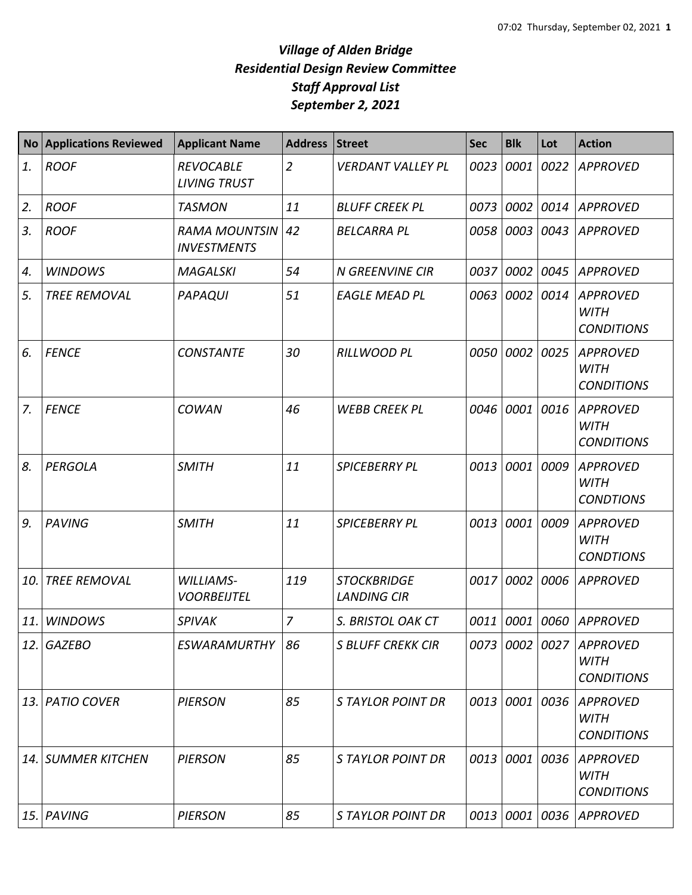| <b>No</b> | <b>Applications Reviewed</b> | <b>Applicant Name</b>                      | <b>Address</b> | Street                                   | <b>Sec</b> | <b>Blk</b>     | Lot  | <b>Action</b>                                       |
|-----------|------------------------------|--------------------------------------------|----------------|------------------------------------------|------------|----------------|------|-----------------------------------------------------|
| 1.        | <b>ROOF</b>                  | <b>REVOCABLE</b><br><b>LIVING TRUST</b>    | $\overline{2}$ | <b>VERDANT VALLEY PL</b>                 | 0023       | 0001           | 0022 | <b>APPROVED</b>                                     |
| 2.        | <b>ROOF</b>                  | <b>TASMON</b>                              | 11             | <b>BLUFF CREEK PL</b>                    | 0073       | 0002           | 0014 | APPROVED                                            |
| 3.        | <b>ROOF</b>                  | <b>RAMA MOUNTSIN</b><br><b>INVESTMENTS</b> | 42             | <b>BELCARRA PL</b>                       | 0058       | 0003           | 0043 | <b>APPROVED</b>                                     |
| 4.        | <b>WINDOWS</b>               | <b>MAGALSKI</b>                            | 54             | <b>N GREENVINE CIR</b>                   | 0037       | 0002           | 0045 | <b>APPROVED</b>                                     |
| 5.        | <b>TREE REMOVAL</b>          | PAPAQUI                                    | 51             | <b>EAGLE MEAD PL</b>                     | 0063       | 0002           | 0014 | <b>APPROVED</b><br><b>WITH</b><br><b>CONDITIONS</b> |
| 6.        | <b>FENCE</b>                 | <b>CONSTANTE</b>                           | 30             | <b>RILLWOOD PL</b>                       | 0050       | 0002           | 0025 | <b>APPROVED</b><br><b>WITH</b><br><b>CONDITIONS</b> |
| 7.        | <b>FENCE</b>                 | <b>COWAN</b>                               | 46             | <b>WEBB CREEK PL</b>                     | 0046       | 0001           | 0016 | <b>APPROVED</b><br><b>WITH</b><br><b>CONDITIONS</b> |
| 8.        | PERGOLA                      | <b>SMITH</b>                               | 11             | <b>SPICEBERRY PL</b>                     | 0013       | 0001           | 0009 | <b>APPROVED</b><br><b>WITH</b><br><b>CONDTIONS</b>  |
| 9.        | <b>PAVING</b>                | <b>SMITH</b>                               | 11             | <b>SPICEBERRY PL</b>                     | 0013       | 0001           | 0009 | <b>APPROVED</b><br><b>WITH</b><br><b>CONDTIONS</b>  |
| 10.       | <b>TREE REMOVAL</b>          | <b>WILLIAMS-</b><br><b>VOORBEIJTEL</b>     | 119            | <b>STOCKBRIDGE</b><br><b>LANDING CIR</b> | 0017       | 0002           | 0006 | <b>APPROVED</b>                                     |
| 11.       | <b>WINDOWS</b>               | <b>SPIVAK</b>                              | $\overline{7}$ | S. BRISTOL OAK CT                        | 0011       | 0001           | 0060 | <b>APPROVED</b>                                     |
|           | 12. GAZEBO                   | <b>ESWARAMURTHY</b>                        | 86             | <b>S BLUFF CREKK CIR</b>                 |            | 0073 0002 0027 |      | <b>APPROVED</b><br><b>WITH</b><br><b>CONDITIONS</b> |
| 13.1      | <b>PATIO COVER</b>           | <b>PIERSON</b>                             | 85             | <b>STAYLOR POINT DR</b>                  | 0013       | 0001           | 0036 | <b>APPROVED</b><br><b>WITH</b><br><b>CONDITIONS</b> |
|           | 14. SUMMER KITCHEN           | <b>PIERSON</b>                             | 85             | <b>STAYLOR POINT DR</b>                  |            | 0013 0001      | 0036 | <b>APPROVED</b><br><b>WITH</b><br><b>CONDITIONS</b> |
| 15.       | PAVING                       | <b>PIERSON</b>                             | 85             | <b>STAYLOR POINT DR</b>                  |            | 0013 0001      | 0036 | APPROVED                                            |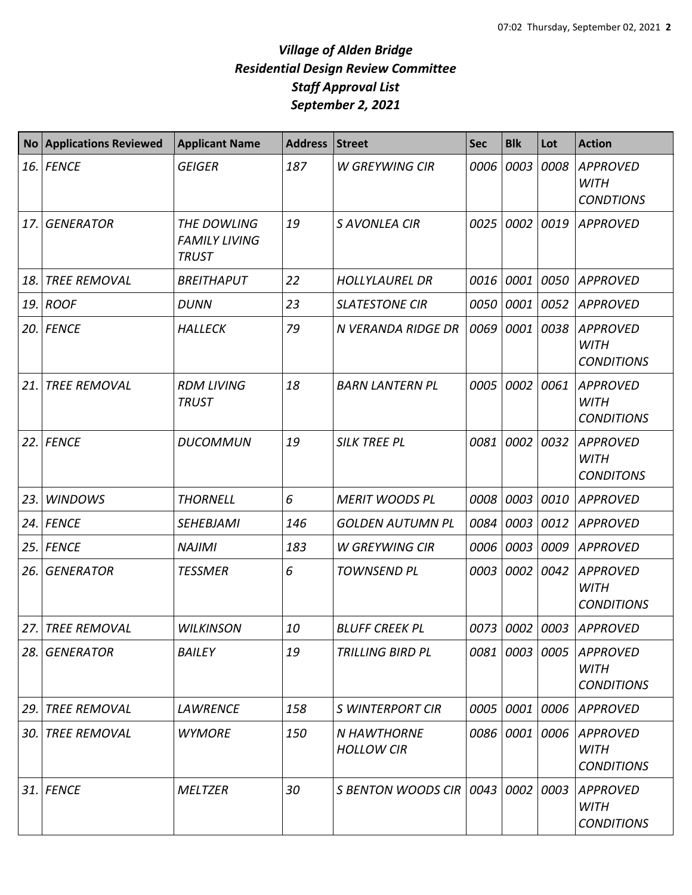| No. | <b>Applications Reviewed</b> | <b>Applicant Name</b>                               | <b>Address</b> | <b>Street</b>                           | <b>Sec</b> | <b>Blk</b> | Lot  | <b>Action</b>                                       |
|-----|------------------------------|-----------------------------------------------------|----------------|-----------------------------------------|------------|------------|------|-----------------------------------------------------|
| 16. | <b>FENCE</b>                 | <b>GEIGER</b>                                       | 187            | <b>W GREYWING CIR</b>                   | 0006       | 0003       | 0008 | <b>APPROVED</b><br><b>WITH</b><br><b>CONDTIONS</b>  |
| 17. | <b>GENERATOR</b>             | THE DOWLING<br><b>FAMILY LIVING</b><br><b>TRUST</b> | 19             | <b>S AVONLEA CIR</b>                    | 0025       | 0002       | 0019 | <b>APPROVED</b>                                     |
| 18. | <b>TREE REMOVAL</b>          | <b>BREITHAPUT</b>                                   | 22             | <b>HOLLYLAUREL DR</b>                   | 0016       | 0001       | 0050 | <b>APPROVED</b>                                     |
| 19. | <b>ROOF</b>                  | <b>DUNN</b>                                         | 23             | <b>SLATESTONE CIR</b>                   | 0050       | 0001       | 0052 | <b>APPROVED</b>                                     |
| 20. | <b>FENCE</b>                 | <b>HALLECK</b>                                      | 79             | N VERANDA RIDGE DR                      | 0069       | 0001       | 0038 | <b>APPROVED</b><br><b>WITH</b><br><b>CONDITIONS</b> |
| 21. | <b>TREE REMOVAL</b>          | <b>RDM LIVING</b><br><b>TRUST</b>                   | 18             | <b>BARN LANTERN PL</b>                  | 0005       | 0002       | 0061 | <b>APPROVED</b><br><b>WITH</b><br><b>CONDITIONS</b> |
| 22. | <b>FENCE</b>                 | <b>DUCOMMUN</b>                                     | 19             | <b>SILK TREE PL</b>                     | 0081       | 0002       | 0032 | <b>APPROVED</b><br><b>WITH</b><br><b>CONDITONS</b>  |
| 23. | <b>WINDOWS</b>               | <b>THORNELL</b>                                     | 6              | <b>MERIT WOODS PL</b>                   | 0008       | 0003       | 0010 | <b>APPROVED</b>                                     |
| 24. | <b>FENCE</b>                 | <b>SEHEBJAMI</b>                                    | 146            | <b>GOLDEN AUTUMN PL</b>                 | 0084       | 0003       | 0012 | <b>APPROVED</b>                                     |
| 25. | <b>FENCE</b>                 | <b>NAJIMI</b>                                       | 183            | <b>W GREYWING CIR</b>                   | 0006       | 0003       | 0009 | <b>APPROVED</b>                                     |
| 26. | <b>GENERATOR</b>             | <b>TESSMER</b>                                      | 6              | <b>TOWNSEND PL</b>                      | 0003       | 0002       | 0042 | <b>APPROVED</b><br><b>WITH</b><br><b>CONDITIONS</b> |
| 27. | <b>TREE REMOVAL</b>          | <b>WILKINSON</b>                                    | 10             | <b>BLUFF CREEK PL</b>                   | 0073       | 0002       | 0003 | <b>APPROVED</b>                                     |
| 28. | <b>GENERATOR</b>             | <b>BAILEY</b>                                       | 19             | <b>TRILLING BIRD PL</b>                 | 0081       | 0003       | 0005 | <b>APPROVED</b><br><b>WITH</b><br><b>CONDITIONS</b> |
| 29. | <b>TREE REMOVAL</b>          | <b>LAWRENCE</b>                                     | 158            | <b>S WINTERPORT CIR</b>                 | 0005       | 0001       | 0006 | <b>APPROVED</b>                                     |
| 30. | <b>TREE REMOVAL</b>          | <b>WYMORE</b>                                       | 150            | <b>N HAWTHORNE</b><br><b>HOLLOW CIR</b> | 0086       | 0001       | 0006 | <b>APPROVED</b><br><b>WITH</b><br><b>CONDITIONS</b> |
| 31. | <b>FENCE</b>                 | <b>MELTZER</b>                                      | 30             | S BENTON WOODS CIR 10043                |            | 0002       | 0003 | <b>APPROVED</b><br><b>WITH</b><br><b>CONDITIONS</b> |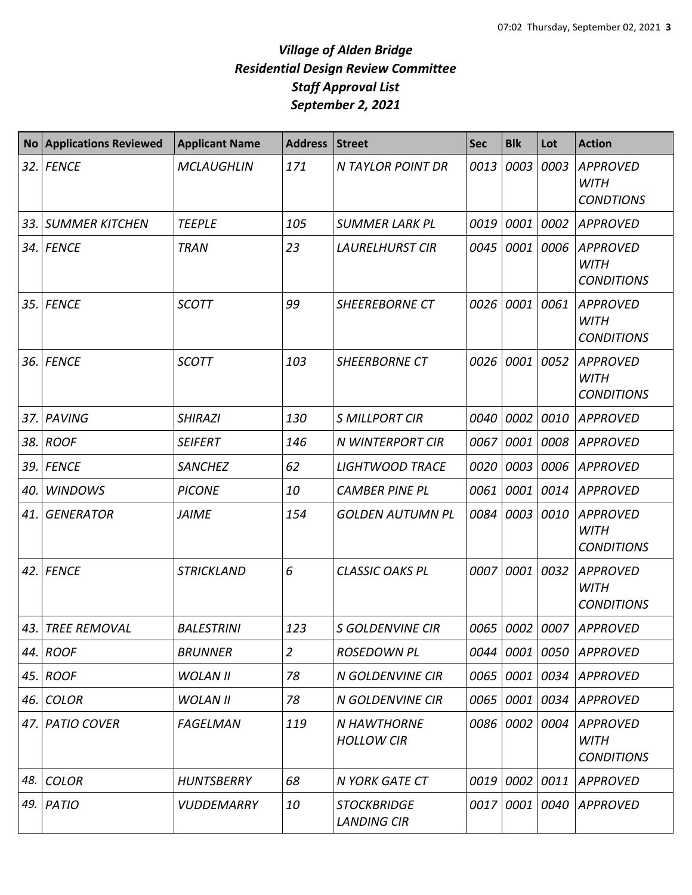| <b>No</b> | <b>Applications Reviewed</b> | <b>Applicant Name</b> | <b>Address</b> | <b>Street</b>                            | <b>Sec</b> | <b>Blk</b> | Lot  | <b>Action</b>                                       |
|-----------|------------------------------|-----------------------|----------------|------------------------------------------|------------|------------|------|-----------------------------------------------------|
|           | 32. FENCE                    | <b>MCLAUGHLIN</b>     | 171            | <b>N TAYLOR POINT DR</b>                 | 0013       | 0003       | 0003 | <b>APPROVED</b><br><b>WITH</b><br><b>CONDTIONS</b>  |
| 33.       | <b>SUMMER KITCHEN</b>        | <b>TEEPLE</b>         | 105            | <b>SUMMER LARK PL</b>                    | 0019       | 0001       | 0002 | <b>APPROVED</b>                                     |
|           | 34. FENCE                    | <b>TRAN</b>           | 23             | <b>LAURELHURST CIR</b>                   | 0045       | 0001       | 0006 | <b>APPROVED</b><br><b>WITH</b><br><b>CONDITIONS</b> |
|           | 35. FENCE                    | <b>SCOTT</b>          | 99             | <b>SHEEREBORNE CT</b>                    | 0026       | 0001       | 0061 | <b>APPROVED</b><br><b>WITH</b><br><b>CONDITIONS</b> |
| 36.       | <b>FENCE</b>                 | <b>SCOTT</b>          | 103            | <b>SHEERBORNE CT</b>                     | 0026       | 0001       | 0052 | <b>APPROVED</b><br><b>WITH</b><br><b>CONDITIONS</b> |
| 37.       | <b>PAVING</b>                | <b>SHIRAZI</b>        | 130            | <b>S MILLPORT CIR</b>                    | 0040       | 0002       | 0010 | <b>APPROVED</b>                                     |
| 38.       | <b>ROOF</b>                  | <b>SEIFERT</b>        | 146            | <b>N WINTERPORT CIR</b>                  | 0067       | 0001       | 0008 | <b>APPROVED</b>                                     |
| 39.       | <b>FENCE</b>                 | <b>SANCHEZ</b>        | 62             | <b>LIGHTWOOD TRACE</b>                   | 0020       | 0003       | 0006 | <b>APPROVED</b>                                     |
| 40.       | <b>WINDOWS</b>               | <b>PICONE</b>         | 10             | <b>CAMBER PINE PL</b>                    | 0061       | 0001       | 0014 | <b>APPROVED</b>                                     |
| 41.       | <b>GENERATOR</b>             | <b>JAIME</b>          | 154            | <b>GOLDEN AUTUMN PL</b>                  | 0084       | 0003       | 0010 | <b>APPROVED</b><br><b>WITH</b><br><b>CONDITIONS</b> |
| 42.       | <b>FENCE</b>                 | STRICKLAND            | 6              | <b>CLASSIC OAKS PL</b>                   | 0007       | 0001       | 0032 | <b>APPROVED</b><br><b>WITH</b><br><b>CONDITIONS</b> |
| 43.       | <b>TREE REMOVAL</b>          | <b>BALESTRINI</b>     | 123            | <b>S GOLDENVINE CIR</b>                  | 0065       | 0002       | 0007 | <b>APPROVED</b>                                     |
|           | 44. ROOF                     | <b>BRUNNER</b>        | $\overline{2}$ | <b>ROSEDOWN PL</b>                       | 0044       | 0001       | 0050 | APPROVED                                            |
| 45.       | <b>ROOF</b>                  | <b>WOLAN II</b>       | 78             | <b>N GOLDENVINE CIR</b>                  | 0065       | 0001       | 0034 | APPROVED                                            |
| 46.       | <b>COLOR</b>                 | <b>WOLAN II</b>       | 78             | N GOLDENVINE CIR                         | 0065       | 0001       | 0034 | <b>APPROVED</b>                                     |
|           | 47. PATIO COVER              | <b>FAGELMAN</b>       | 119            | <b>N HAWTHORNE</b><br><b>HOLLOW CIR</b>  | 0086       | 0002       | 0004 | <b>APPROVED</b><br><b>WITH</b><br><b>CONDITIONS</b> |
| 48.       | <b>COLOR</b>                 | <b>HUNTSBERRY</b>     | 68             | N YORK GATE CT                           | 0019       | 0002       | 0011 | <b>APPROVED</b>                                     |
| 49.       | PATIO                        | <b>VUDDEMARRY</b>     | 10             | <b>STOCKBRIDGE</b><br><b>LANDING CIR</b> | 0017       | 0001       | 0040 | <b>APPROVED</b>                                     |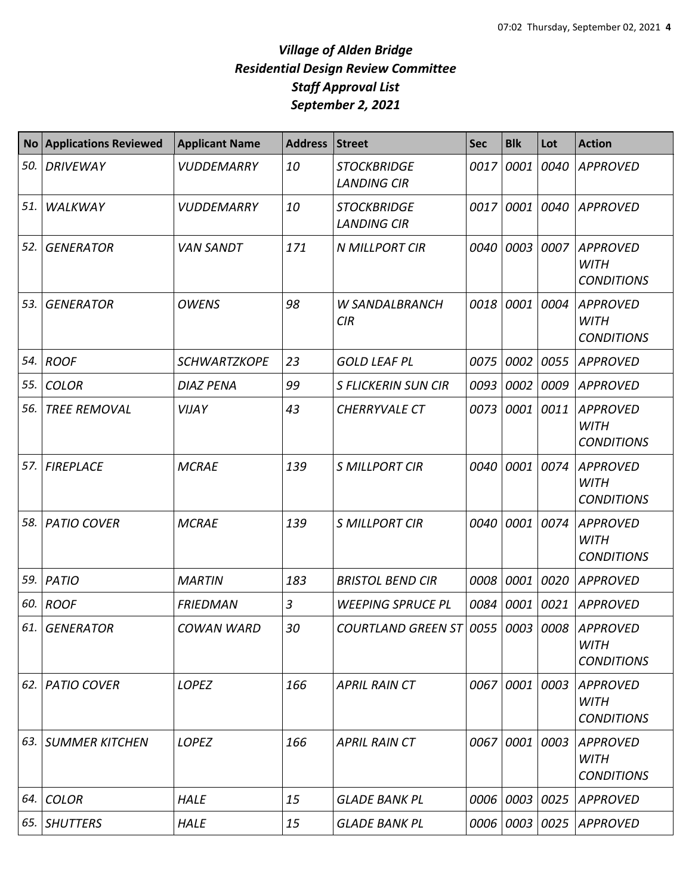| <b>No</b> | <b>Applications Reviewed</b> | <b>Applicant Name</b> | <b>Address</b> | <b>Street</b>                            | <b>Sec</b> | <b>Blk</b> | Lot  | <b>Action</b>                                       |
|-----------|------------------------------|-----------------------|----------------|------------------------------------------|------------|------------|------|-----------------------------------------------------|
| 50.       | <b>DRIVEWAY</b>              | <b>VUDDEMARRY</b>     | 10             | <b>STOCKBRIDGE</b><br><b>LANDING CIR</b> | 0017       | 0001       | 0040 | <b>APPROVED</b>                                     |
| 51.       | WALKWAY                      | <b>VUDDEMARRY</b>     | 10             | <b>STOCKBRIDGE</b><br><b>LANDING CIR</b> | 0017       | 0001       | 0040 | <b>APPROVED</b>                                     |
| 52.       | <b>GENERATOR</b>             | <b>VAN SANDT</b>      | 171            | <b>N MILLPORT CIR</b>                    | 0040       | 0003       | 0007 | <b>APPROVED</b><br><b>WITH</b><br><b>CONDITIONS</b> |
| 53.       | <b>GENERATOR</b>             | <b>OWENS</b>          | 98             | <b>W SANDALBRANCH</b><br><b>CIR</b>      | 0018       | 0001       | 0004 | <b>APPROVED</b><br><b>WITH</b><br><b>CONDITIONS</b> |
| 54.       | <b>ROOF</b>                  | <b>SCHWARTZKOPE</b>   | 23             | <b>GOLD LEAF PL</b>                      | 0075       | 0002       | 0055 | <b>APPROVED</b>                                     |
| 55.       | <b>COLOR</b>                 | <b>DIAZ PENA</b>      | 99             | <b>S FLICKERIN SUN CIR</b>               | 0093       | 0002       | 0009 | <b>APPROVED</b>                                     |
| 56.       | <b>TREE REMOVAL</b>          | VIJAY                 | 43             | CHERRYVALE CT                            | 0073       | 0001       | 0011 | <b>APPROVED</b><br><b>WITH</b><br><b>CONDITIONS</b> |
| 57.       | <b>FIREPLACE</b>             | <b>MCRAE</b>          | 139            | <b>S MILLPORT CIR</b>                    | 0040       | 0001       | 0074 | <b>APPROVED</b><br><b>WITH</b><br><b>CONDITIONS</b> |
| 58.       | <b>PATIO COVER</b>           | <b>MCRAE</b>          | 139            | <b>S MILLPORT CIR</b>                    | 0040       | 0001       | 0074 | <b>APPROVED</b><br><b>WITH</b><br><b>CONDITIONS</b> |
| 59.       | PATIO                        | <b>MARTIN</b>         | 183            | <b>BRISTOL BEND CIR</b>                  | 0008       | 0001       | 0020 | <b>APPROVED</b>                                     |
| 60.       | <b>ROOF</b>                  | <b>FRIEDMAN</b>       | $\mathfrak{Z}$ | <b>WEEPING SPRUCE PL</b>                 | 0084       | 0001       | 0021 | <b>APPROVED</b>                                     |
| 61.       | <b>GENERATOR</b>             | <b>COWAN WARD</b>     | 30             | <b>COURTLAND GREEN ST</b>                | 0055       | 0003       |      | 0008 APPROVED<br><b>WITH</b><br><b>CONDITIONS</b>   |
| 62.       | <b>PATIO COVER</b>           | <b>LOPEZ</b>          | 166            | <b>APRIL RAIN CT</b>                     | 0067       | 0001       | 0003 | <b>APPROVED</b><br><b>WITH</b><br><b>CONDITIONS</b> |
| 63.       | SUMMER KITCHEN               | <b>LOPEZ</b>          | 166            | <b>APRIL RAIN CT</b>                     | 0067       | 0001       | 0003 | <b>APPROVED</b><br><b>WITH</b><br><b>CONDITIONS</b> |
| 64.       | <b>COLOR</b>                 | <b>HALE</b>           | 15             | <b>GLADE BANK PL</b>                     | 0006       | 0003       | 0025 | <b>APPROVED</b>                                     |
|           | 65. SHUTTERS                 | <b>HALE</b>           | 15             | <b>GLADE BANK PL</b>                     | 0006       | 0003       | 0025 | <b>APPROVED</b>                                     |